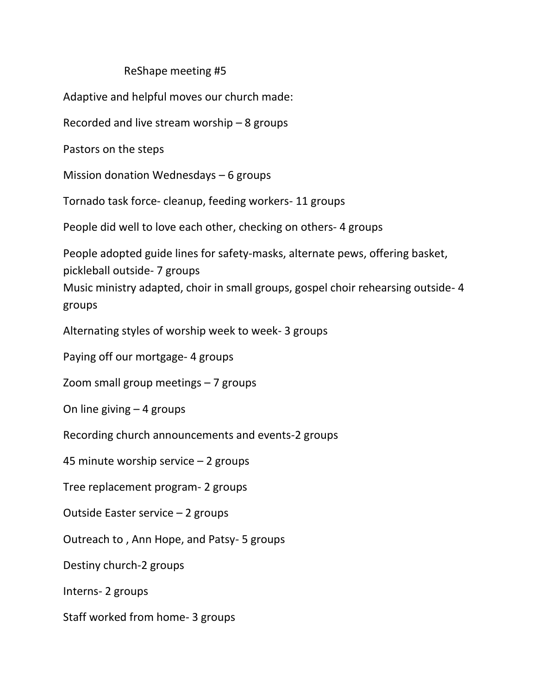## ReShape meeting #5

Adaptive and helpful moves our church made:

Recorded and live stream worship – 8 groups

Pastors on the steps

Mission donation Wednesdays – 6 groups

Tornado task force- cleanup, feeding workers- 11 groups

People did well to love each other, checking on others- 4 groups

People adopted guide lines for safety-masks, alternate pews, offering basket, pickleball outside- 7 groups Music ministry adapted, choir in small groups, gospel choir rehearsing outside- 4 groups

Alternating styles of worship week to week- 3 groups

Paying off our mortgage- 4 groups

Zoom small group meetings – 7 groups

On line giving – 4 groups

Recording church announcements and events-2 groups

45 minute worship service – 2 groups

Tree replacement program- 2 groups

Outside Easter service – 2 groups

Outreach to , Ann Hope, and Patsy- 5 groups

Destiny church-2 groups

Interns- 2 groups

Staff worked from home- 3 groups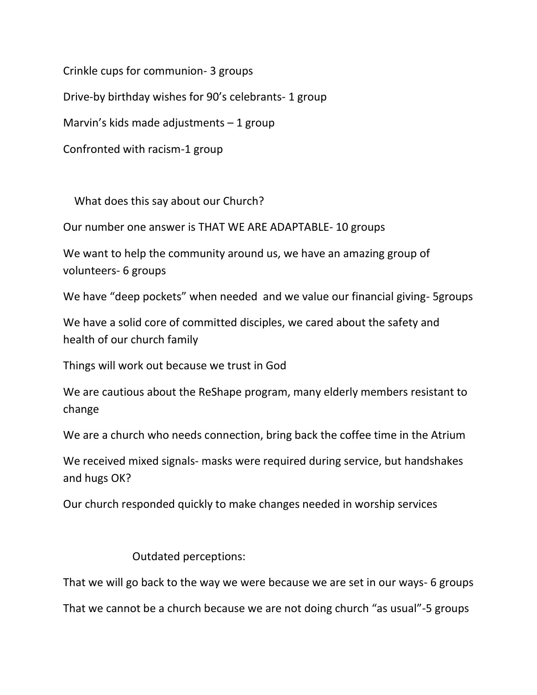Crinkle cups for communion- 3 groups

Drive-by birthday wishes for 90's celebrants- 1 group

Marvin's kids made adjustments  $-1$  group

Confronted with racism-1 group

What does this say about our Church?

Our number one answer is THAT WE ARE ADAPTABLE- 10 groups

We want to help the community around us, we have an amazing group of volunteers- 6 groups

We have "deep pockets" when needed and we value our financial giving- 5groups

We have a solid core of committed disciples, we cared about the safety and health of our church family

Things will work out because we trust in God

We are cautious about the ReShape program, many elderly members resistant to change

We are a church who needs connection, bring back the coffee time in the Atrium

We received mixed signals- masks were required during service, but handshakes and hugs OK?

Our church responded quickly to make changes needed in worship services

## Outdated perceptions:

That we will go back to the way we were because we are set in our ways- 6 groups

That we cannot be a church because we are not doing church "as usual"-5 groups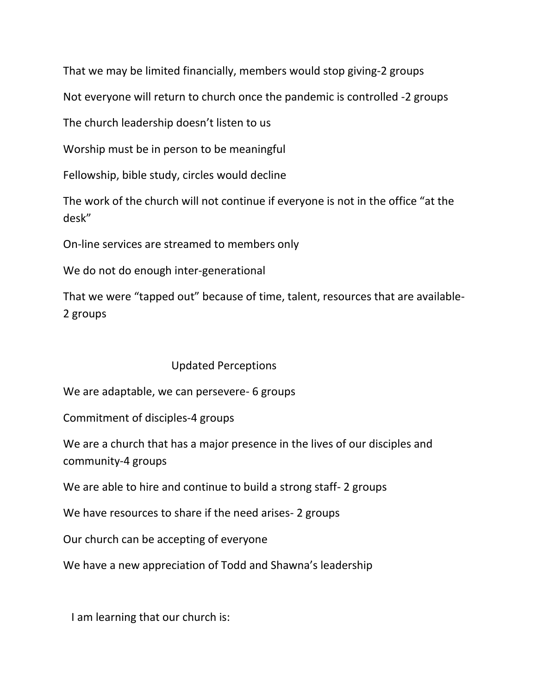That we may be limited financially, members would stop giving-2 groups

Not everyone will return to church once the pandemic is controlled -2 groups

The church leadership doesn't listen to us

Worship must be in person to be meaningful

Fellowship, bible study, circles would decline

The work of the church will not continue if everyone is not in the office "at the desk"

On-line services are streamed to members only

We do not do enough inter-generational

That we were "tapped out" because of time, talent, resources that are available-2 groups

## Updated Perceptions

We are adaptable, we can persevere- 6 groups

Commitment of disciples-4 groups

We are a church that has a major presence in the lives of our disciples and community-4 groups

We are able to hire and continue to build a strong staff- 2 groups

We have resources to share if the need arises- 2 groups

Our church can be accepting of everyone

We have a new appreciation of Todd and Shawna's leadership

I am learning that our church is: